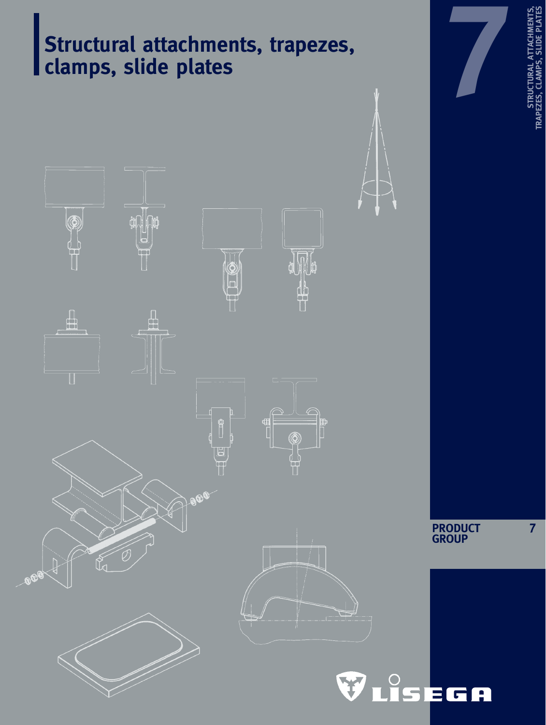# **7 Structural attachments, trapezes, clamps, slide plates**



**Struc tural attachmen ts, trapezes, clamps, slide plates**

**PRODUCT 7**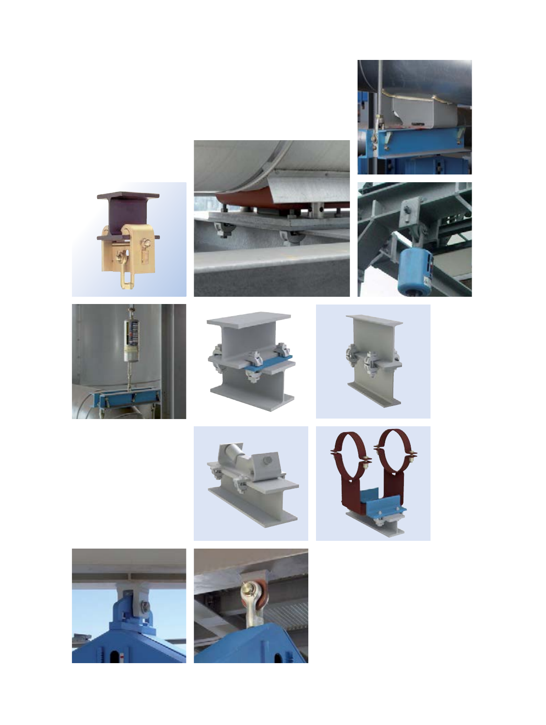















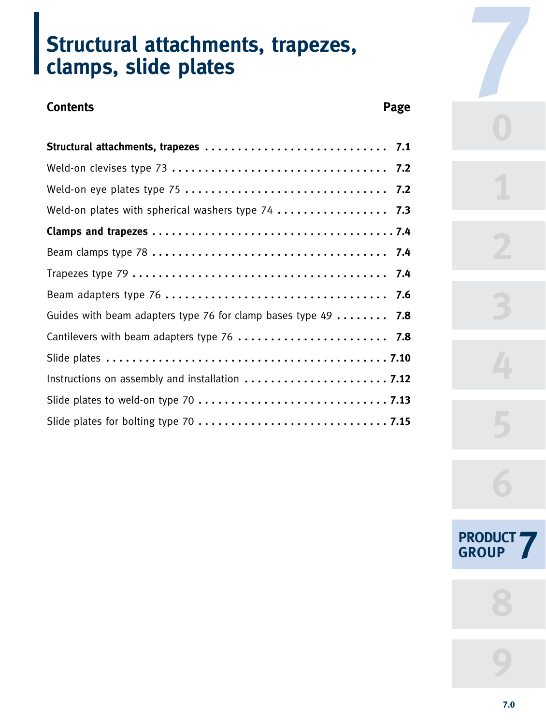### **Structural attachments, trapezes, clamps, slide plates**

### **Contents** Page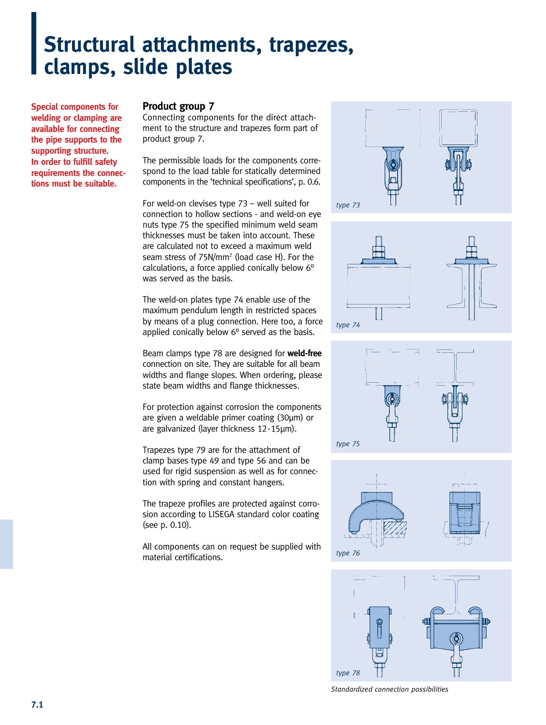### **Structural attachments, trapezes, clamps, slide plates**

**Special components for welding or clamping are available for connecting the pipe supports to the supporting structure. In order to fulfill safety requirements the connections must be suitable.** 

#### **Product group 7**

Connecting components for the direct attachment to the structure and trapezes form part of product group 7.

The permissible loads for the components correspond to the load table for statically determined components in the 'technical specifications', p. 0.6.

For weld-on clevises type 73 – well suited for connection to hollow sections - and weld-on eye nuts type 75 the specified minimum weld seam thicknesses must be taken into account. These are calculated not to exceed a maximum weld seam stress of 75N/mm2 (load case H). For the calculations, a force applied conically below 6° was served as the basis.

The weld-on plates type 74 enable use of the maximum pendulum length in restricted spaces by means of a plug connection. Here too, a force applied conically below 6° served as the basis.

Beam clamps type 78 are designed for **weld-free** connection on site. They are suitable for all beam widths and flange slopes. When ordering, please state beam widths and flange thicknesses.

For protection against corrosion the components are given a weldable primer coating (30µm) or are galvanized (layer thickness 12 - 15µm).

Trapezes type 79 are for the attachment of clamp bases type 49 and type 56 and can be used for rigid suspension as well as for connection with spring and constant hangers.

The trapeze profiles are protected against corrosion according to LISEGA standard color coating (see p. 0.10).

All components can on request be supplied with material certifications.











*Standardized connection possibilities*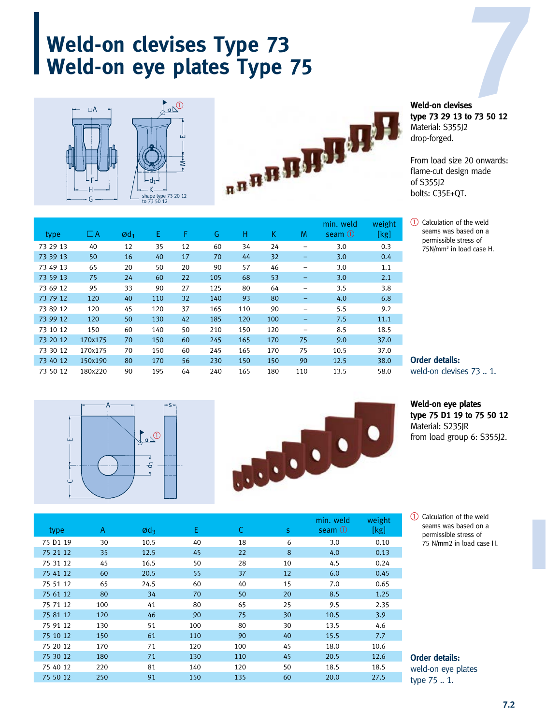### **Weld-on clevises Type 73 Weld-on eye plates Type 75**





# es<br>to 73.50.12 **Weld-on clevises type 73 29 13 to 73 50 12**  Material: S355J2 drop-forged.

From load size 20 onwards: flame-cut design made of S355J2 bolts: C35E+QT.

 Calculation of the weld seams was based on a permissible stress of 75N/mm2 in load case H.

| type     | $\Box$ A | $\emptyset$ d <sub>1</sub> | E.  | F  | G   | Н   | К   | M   | min. weld<br>seam $(1)$ | weight<br>[kg] |
|----------|----------|----------------------------|-----|----|-----|-----|-----|-----|-------------------------|----------------|
| 73 29 13 | 40       | 12                         | 35  | 12 | 60  | 34  | 24  |     | 3.0                     | 0.3            |
| 73 39 13 | 50       | 16                         | 40  | 17 | 70  | 44  | 32  |     | 3.0                     | 0.4            |
| 73 49 13 | 65       | 20                         | 50  | 20 | 90  | 57  | 46  |     | 3.0                     | 1.1            |
| 73 59 13 | 75       | 24                         | 60  | 22 | 105 | 68  | 53  |     | 3.0                     | 2.1            |
| 73 69 12 | 95       | 33                         | 90  | 27 | 125 | 80  | 64  |     | 3.5                     | 3.8            |
| 73 79 12 | 120      | 40                         | 110 | 32 | 140 | 93  | 80  |     | 4.0                     | 6.8            |
| 73 89 12 | 120      | 45                         | 120 | 37 | 165 | 110 | 90  |     | 5.5                     | 9.2            |
| 73 99 12 | 120      | 50                         | 130 | 42 | 185 | 120 | 100 |     | 7.5                     | 11.1           |
| 73 10 12 | 150      | 60                         | 140 | 50 | 210 | 150 | 120 |     | 8.5                     | 18.5           |
| 73 20 12 | 170x175  | 70                         | 150 | 60 | 245 | 165 | 170 | 75  | 9.0                     | 37.0           |
| 73 30 12 | 170x175  | 70                         | 150 | 60 | 245 | 165 | 170 | 75  | 10.5                    | 37.0           |
| 73 40 12 | 150x190  | 80                         | 170 | 56 | 230 | 150 | 150 | 90  | 12.5                    | 38.0           |
| 73 50 12 | 180x220  | 90                         | 195 | 64 | 240 | 165 | 180 | 110 | 13.5                    | 58.0           |

**Order details:**  weld-on clevises 73 .. 1.



EA  $d_3$ - $\bm\cup$ s b a NO



| (1) Calculation of the weld |  |  |  |  |  |
|-----------------------------|--|--|--|--|--|
| seams was based on a        |  |  |  |  |  |
| permissible stress of       |  |  |  |  |  |
| 75 N/mm2 in load case H.    |  |  |  |  |  |

**Order details:**  weld-on eye plates type 75 .. 1.

| type     | A   | $\emptyset$ d <sub>3</sub> | E.  | C   | S  | min. weld<br>seam $0$ | weight<br>[kg] |
|----------|-----|----------------------------|-----|-----|----|-----------------------|----------------|
| 75 D1 19 | 30  | 10.5                       | 40  | 18  | 6  | 3.0                   | 0.10           |
| 75 21 12 | 35  | 12.5                       | 45  | 22  | 8  | 4.0                   | 0.13           |
| 75 31 12 | 45  | 16.5                       | 50  | 28  | 10 | 4.5                   | 0.24           |
| 75 41 12 | 60  | 20.5                       | 55  | 37  | 12 | 6.0                   | 0.45           |
| 75 51 12 | 65  | 24.5                       | 60  | 40  | 15 | 7.0                   | 0.65           |
| 75 61 12 | 80  | 34                         | 70  | 50  | 20 | 8.5                   | 1.25           |
| 75 71 12 | 100 | 41                         | 80  | 65  | 25 | 9.5                   | 2.35           |
| 75 81 12 | 120 | 46                         | 90  | 75  | 30 | 10.5                  | 3.9            |
| 75 91 12 | 130 | 51                         | 100 | 80  | 30 | 13.5                  | 4.6            |
| 75 10 12 | 150 | 61                         | 110 | 90  | 40 | 15.5                  | 7.7            |
| 75 20 12 | 170 | 71                         | 120 | 100 | 45 | 18.0                  | 10.6           |
| 75 30 12 | 180 | 71                         | 130 | 110 | 45 | 20.5                  | 12.6           |
| 75 40 12 | 220 | 81                         | 140 | 120 | 50 | 18.5                  | 18.5           |
| 75 50 12 | 250 | 91                         | 150 | 135 | 60 | 20.0                  | 27.5           |
|          |     |                            |     |     |    |                       |                |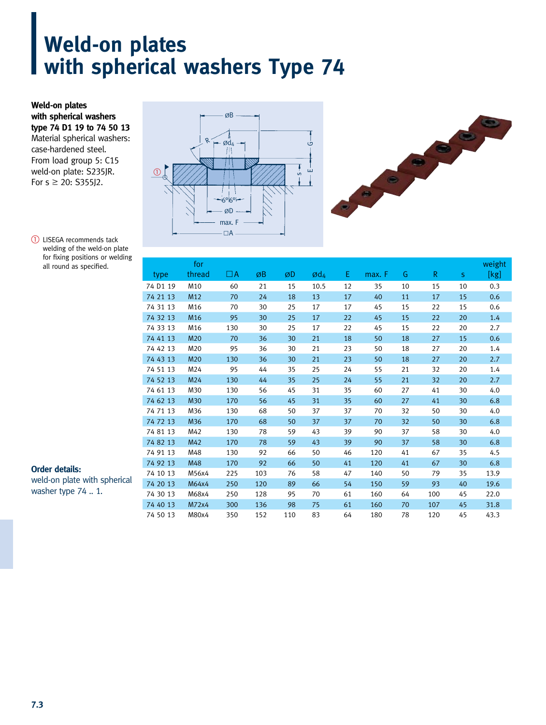### **Weld-on plates with spherical washers Type 74**

**Weld-on plates with spherical washers type 74 D1 19 to 74 50 13**  Material spherical washers: case-hardened steel. From load group 5: C15 weld-on plate: S235JR. For  $s \ge 20$ : S355J2.







|          | for             |          |     |     |                 |    |        |    |              |    | weight |
|----------|-----------------|----------|-----|-----|-----------------|----|--------|----|--------------|----|--------|
| type     | thread          | $\Box$ A | øΒ  | øD  | Ød <sub>4</sub> | E  | max. F | G  | $\mathsf{R}$ | S  | [kg]   |
| 74 D1 19 | M10             | 60       | 21  | 15  | 10.5            | 12 | 35     | 10 | 15           | 10 | 0.3    |
| 74 21 13 | M12             | 70       | 24  | 18  | 13              | 17 | 40     | 11 | 17           | 15 | 0.6    |
| 74 31 13 | M16             | 70       | 30  | 25  | 17              | 17 | 45     | 15 | 22           | 15 | 0.6    |
| 74 32 13 | M16             | 95       | 30  | 25  | 17              | 22 | 45     | 15 | 22           | 20 | 1.4    |
| 74 33 13 | M16             | 130      | 30  | 25  | 17              | 22 | 45     | 15 | 22           | 20 | 2.7    |
| 74 41 13 | M20             | 70       | 36  | 30  | 21              | 18 | 50     | 18 | 27           | 15 | 0.6    |
| 74 42 13 | M20             | 95       | 36  | 30  | 21              | 23 | 50     | 18 | 27           | 20 | 1.4    |
| 74 43 13 | M <sub>20</sub> | 130      | 36  | 30  | 21              | 23 | 50     | 18 | 27           | 20 | 2.7    |
| 74 51 13 | M24             | 95       | 44  | 35  | 25              | 24 | 55     | 21 | 32           | 20 | 1.4    |
| 74 52 13 | M <sub>24</sub> | 130      | 44  | 35  | 25              | 24 | 55     | 21 | 32           | 20 | 2.7    |
| 74 61 13 | M30             | 130      | 56  | 45  | 31              | 35 | 60     | 27 | 41           | 30 | 4.0    |
| 74 62 13 | M30             | 170      | 56  | 45  | 31              | 35 | 60     | 27 | 41           | 30 | 6.8    |
| 74 71 13 | M36             | 130      | 68  | 50  | 37              | 37 | 70     | 32 | 50           | 30 | 4.0    |
| 74 72 13 | M36             | 170      | 68  | 50  | 37              | 37 | 70     | 32 | 50           | 30 | 6.8    |
| 74 81 13 | M42             | 130      | 78  | 59  | 43              | 39 | 90     | 37 | 58           | 30 | 4.0    |
| 74 82 13 | M42             | 170      | 78  | 59  | 43              | 39 | 90     | 37 | 58           | 30 | 6.8    |
| 74 91 13 | M48             | 130      | 92  | 66  | 50              | 46 | 120    | 41 | 67           | 35 | 4.5    |
| 74 92 13 | M48             | 170      | 92  | 66  | 50              | 41 | 120    | 41 | 67           | 30 | 6.8    |
| 74 10 13 | M56x4           | 225      | 103 | 76  | 58              | 47 | 140    | 50 | 79           | 35 | 13.9   |
| 74 20 13 | M64x4           | 250      | 120 | 89  | 66              | 54 | 150    | 59 | 93           | 40 | 19.6   |
| 74 30 13 | M68x4           | 250      | 128 | 95  | 70              | 61 | 160    | 64 | 100          | 45 | 22.0   |
| 74 40 13 | M72x4           | 300      | 136 | 98  | 75              | 61 | 160    | 70 | 107          | 45 | 31.8   |
| 74 50 13 | M80x4           | 350      | 152 | 110 | 83              | 64 | 180    | 78 | 120          | 45 | 43.3   |

#### **Order details:**

weld-on plate with spherical washer type 74 .. 1.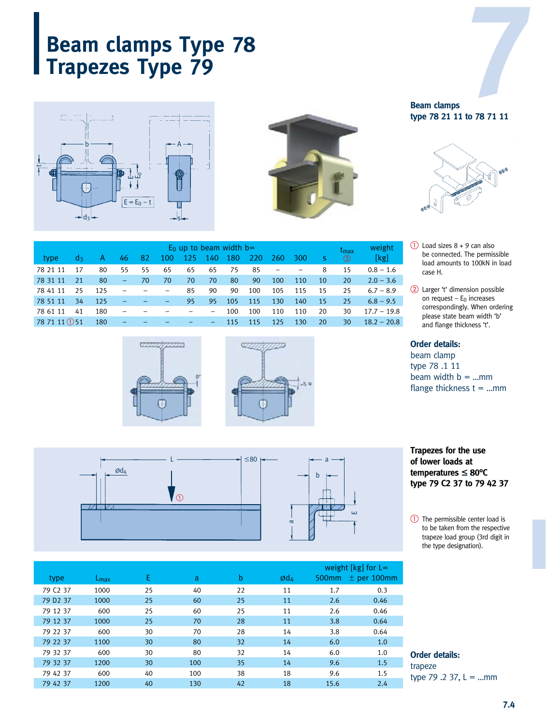### **Beam clamps Type 78 Trapezes Type 79**



type  $d_3$  A



tmax

weight  $[kg]$ 

| <b>Beam clamps</b>        |  |
|---------------------------|--|
| type 78 21 11 to 78 71 11 |  |



- $\circled{1}$  Load sizes 8 + 9 can also be connected. The permissible load amounts to 100kN in load case H.
- Larger 't' dimension possible on request –  $E_0$  increases correspondingly. When ordering please state beam width 'b' and flange thickness 't'.

**Order details:**  beam clamp type 78 .1 11 beam width  $b = ...mm$ flange thickness  $t = ...mm$ 

**Trapezes for the use of lower loads at temperatures 80°C type 79 C2 37 to 79 42 37** 

 $\overline{1}$  The permissible center load is to be taken from the respective trapeze load group (3rd digit in the type designation).

**Order details:**  trapeze type  $79.2$  37,  $L = ...mm$ 



E<sub>0</sub> up to beam width  $b=$ <br>100 125 140 180 2 46 82 100 125 140 180 220 260 300 s

π

78 21 11 17 80 55 55 65 65 65 75 85 – – 8 15 0.8 – 1.6 78 31 11 21 80 – 70 70 70 70 80 90 100 110 10 20 2.0 – 3.6 78 41 11 25 125 – – – 85 90 90 100 105 115 15 25 6.7 – 8.9 78 51 11 34 125 – – – 95 95 105 115 130 140 15 25 6.8 – 9.5 78 61 11 41 180 – – – – – 100 100 110 110 20 30 17.7 – 19.8 78 71 11 51 180 – – – – – 115 115 125 130 20 30 18.2 – 20.8

 $CTT$ 

Œ

7772

|                      |                  |    |     |    |                            |                   | weight $[kg]$ for $L =$ |
|----------------------|------------------|----|-----|----|----------------------------|-------------------|-------------------------|
| type                 | $L_{\text{max}}$ | E. | a   | b  | $\emptyset$ d <sub>4</sub> | 500 <sub>mm</sub> | $\pm$ per 100mm         |
| 79 C <sub>2</sub> 37 | 1000             | 25 | 40  | 22 | 11                         | 1.7               | 0.3                     |
| 79 D <sub>2</sub> 37 | 1000             | 25 | 60  | 25 | 11                         | 2.6               | 0.46                    |
| 79 12 37             | 600              | 25 | 60  | 25 | 11                         | 2.6               | 0.46                    |
| 79 12 37             | 1000             | 25 | 70  | 28 | 11                         | 3.8               | 0.64                    |
| 79 22 37             | 600              | 30 | 70  | 28 | 14                         | 3.8               | 0.64                    |
| 79 22 37             | 1100             | 30 | 80  | 32 | 14                         | 6.0               | 1.0                     |
| 79 32 37             | 600              | 30 | 80  | 32 | 14                         | 6.0               | 1.0                     |
| 79 32 37             | 1200             | 30 | 100 | 35 | 14                         | 9.6               | 1.5                     |
| 79 42 37             | 600              | 40 | 100 | 38 | 18                         | 9.6               | 1.5                     |
| 79 42 37             | 1200             | 40 | 130 | 42 | 18                         | 15.6              | 2.4                     |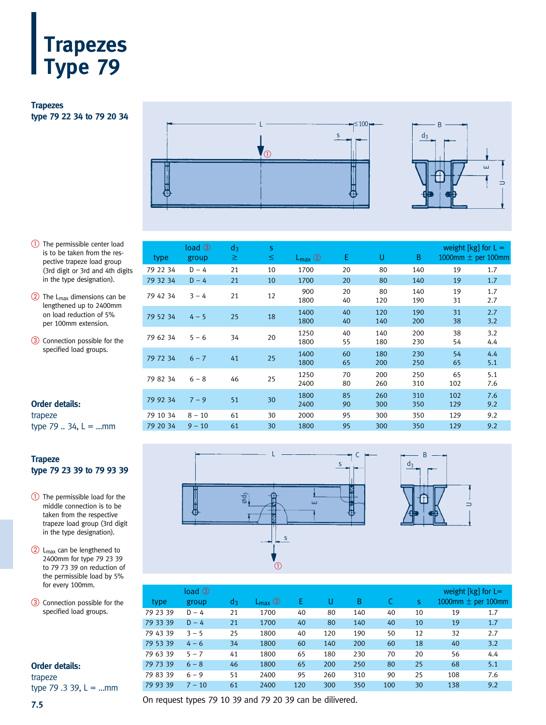

#### **Trapezes**

**type 79 22 34 to 79 20 34** 





- The permissible center load is to be taken from the respective trapeze load group (3rd digit or 3rd and 4th digits in the type designation).
- $(2)$  The L<sub>max</sub> dimensions can be lengthened up to 2400mm on load reduction of 5% per 100mm extension.
- 3 Connection possible for the specified load groups.

#### **Order details:**

trapeze type  $79.34, L = ...mm$ 

#### **Trapeze type 79 23 39 to 79 93 39**

- $\overline{1}$  The permissible load for the middle connection is to be taken from the respective trapeze load group (3rd digit in the type designation).
- Lmax can be lengthened to 2400mm for type 79 23 39 to 79 73 39 on reduction of the permissible load by 5% for every 100mm.
- 3 Connection possible for the specified load groups.

#### **Order details:**

trapeze type  $79.339$ , L = ...mm

| type     | $load$ $@$<br>group | $d_3$<br>≥ | S<br>$\leq$ | $L_{\text{max}}$ $\odot$ | E.       | U          | B          | 1000mm $\pm$ per 100mm | weight [ $kg$ ] for $L =$ |
|----------|---------------------|------------|-------------|--------------------------|----------|------------|------------|------------------------|---------------------------|
| 79 22 34 | $D - 4$             | 21         | 10          | 1700                     | 20       | 80         | 140        | 19                     | 1.7                       |
| 79 32 34 | $D - 4$             | 21         | 10          | 1700                     | 20       | 80         | 140        | 19                     | 1.7                       |
| 79 42 34 | $3 - 4$             | 21         | 12          | 900<br>1800              | 20<br>40 | 80<br>120  | 140<br>190 | 19<br>31               | 1.7<br>2.7                |
| 79 52 34 | $4 - 5$             | 25         | 18          | 1400<br>1800             | 40<br>40 | 120<br>140 | 190<br>200 | 31<br>38               | 2.7<br>3.2                |
| 79 62 34 | $5 - 6$             | 34         | 20          | 1250<br>1800             | 40<br>55 | 140<br>180 | 200<br>230 | 38<br>54               | 3.2<br>4.4                |
| 79 72 34 | $6 - 7$             | 41         | 25          | 1400<br>1800             | 60<br>65 | 180<br>200 | 230<br>250 | 54<br>65               | 4.4<br>5.1                |
| 79 82 34 | $6 - 8$             | 46         | 25          | 1250<br>2400             | 70<br>80 | 200<br>260 | 250<br>310 | 65<br>102              | 5.1<br>7.6                |
| 79 92 34 | $7 - 9$             | 51         | 30          | 1800<br>2400             | 85<br>90 | 260<br>300 | 310<br>350 | 102<br>129             | 7.6<br>9.2                |
| 79 10 34 | $8 - 10$            | 61         | 30          | 2000                     | 95       | 300        | 350        | 129                    | 9.2                       |
| 79 20 34 | $9 - 10$            | 61         | 30          | 1800                     | 95       | 300        | 350        | 129                    | 9.2                       |





| type     | load 3<br>group | $d_3$ | $L_{\rm max}$ $\circledcirc$ | Е   | U   | B   |     | S  | weight $[kg]$ for $L =$<br>1000mm $\pm$ per 100mm |     |
|----------|-----------------|-------|------------------------------|-----|-----|-----|-----|----|---------------------------------------------------|-----|
|          |                 |       |                              |     |     |     |     |    |                                                   |     |
| 79 23 39 | $D - 4$         | 21    | 1700                         | 40  | 80  | 140 | 40  | 10 | 19                                                | 1.7 |
| 79 33 39 | $D - 4$         | 21    | 1700                         | 40  | 80  | 140 | 40  | 10 | 19                                                | 1.7 |
| 79 43 39 | $3 - 5$         | 25    | 1800                         | 40  | 120 | 190 | 50  | 12 | 32                                                | 2.7 |
| 79 53 39 | $4 - 6$         | 34    | 1800                         | 60  | 140 | 200 | 60  | 18 | 40                                                | 3.2 |
| 79 63 39 | $5 - 7$         | 41    | 1800                         | 65  | 180 | 230 | 70  | 20 | 56                                                | 4.4 |
| 79 73 39 | $6 - 8$         | 46    | 1800                         | 65  | 200 | 250 | 80  | 25 | 68                                                | 5.1 |
| 79 83 39 | $6 - 9$         | 51    | 2400                         | 95  | 260 | 310 | 90  | 25 | 108                                               | 7.6 |
| 79 93 39 | $7 - 10$        | 61    | 2400                         | 120 | 300 | 350 | 100 | 30 | 138                                               | 9.2 |

On request types 79 10 39 and 79 20 39 can be dilivered.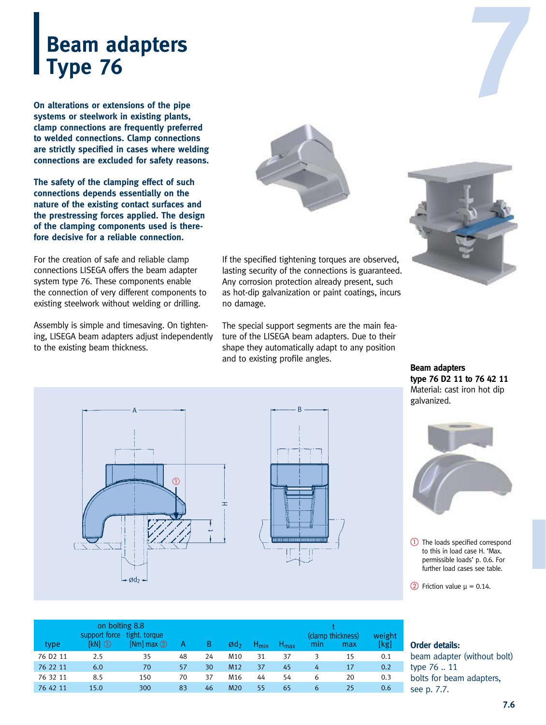### **Beam adapters Type 76**

**On alterations or extensions of the pipe systems or steelwork in existing plants, clamp connections are frequently preferred to welded connections. Clamp connections are strictly specified in cases where welding connections are excluded for safety reasons.** 

**The safety of the clamping effect of such connections depends essentially on the nature of the existing contact surfaces and the prestressing forces applied. The design of the clamping components used is therefore decisive for a reliable connection.** 

For the creation of safe and reliable clamp connections LISEGA offers the beam adapter system type 76. These components enable the connection of very different components to existing steelwork without welding or drilling.

Assembly is simple and timesaving. On tightening, LISEGA beam adapters adjust independently to the existing beam thickness.



If the specified tightening torques are observed, lasting security of the connections is guaranteed. Any corrosion protection already present, such as hot-dip galvanization or paint coatings, incurs no damage.

The special support segments are the main feature of the LISEGA beam adapters. Due to their shape they automatically adapt to any position and to existing profile angles.



**7**

**Beam adapters type 76 D2 11 to 76 42 11** Material: cast iron hot dip galvanized.







 The loads specified correspond to this in load case H. 'Max. permissible loads' p. 0.6. For further load cases see table.

 $(2)$  Friction value  $\mu = 0.14$ .

|                       | weight | (clamp thickness) |     |                  |           |                 |    |    |                | on bolting 8.8<br>support force tight, torque |                      |
|-----------------------|--------|-------------------|-----|------------------|-----------|-----------------|----|----|----------------|-----------------------------------------------|----------------------|
| <b>Order details:</b> | [kg]   | max               | min | $H_{\text{max}}$ | $H_{min}$ | Ød <sub>2</sub> | B  | А  | [Nm] max $(2)$ | [kN] ①                                        | type                 |
| beam adapter          | 0.1    | 15                |     | 37               | 31        | M <sub>10</sub> | 24 | 48 | 35             | 2.5                                           | 76 D <sub>2</sub> 11 |
| type 76  11           | 0.2    | 17                | 4   | 45               | 37        | M12             | 30 | 57 | 70             | 6.0                                           | 76 22 11             |
| bolts for bean        | 0.3    | 20                | 6   | 54               | 44        | M <sub>16</sub> | 37 | 70 | 150            | 8.5                                           | 76 32 11             |
| see p. 7.7.           | 0.6    | 25                | 6   | 65               | 55        | M <sub>20</sub> | 46 | 83 | 300            | 15.0                                          | 76 42 11             |

#### beam adapter (without bolt)

type 76 .. 11 bolts for beam adapters, see p. 7.7.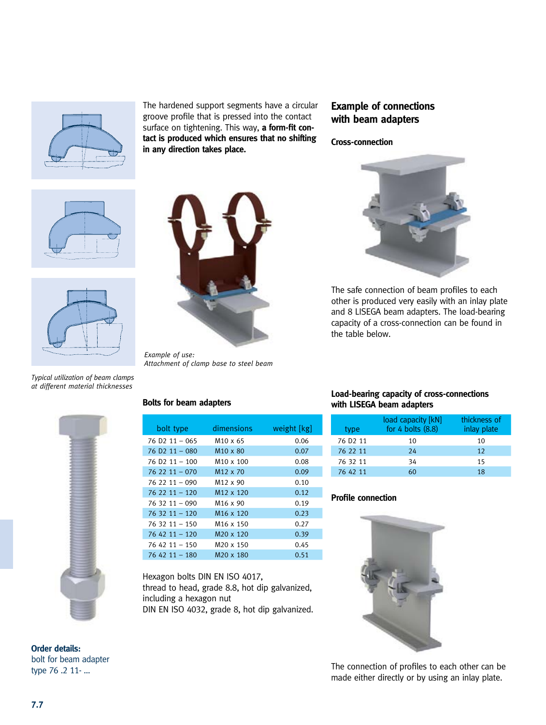

The hardened support segments have a circular groove profile that is pressed into the contact surface on tightening. This way, **a form-fit contact is produced which ensures that no shifting in any direction takes place.** 

#### **Example of connections with beam adapters**

#### **Cross-connection**





*Typical utilization of beam clamps at different material thicknesses*



**Order details:**  bolt for beam adapter type 76 .2 11- …



*Example of use: Attachment of clamp base to steel beam*

#### **Bolts for beam adapters**

| bolt type                      | dimensions            | weight [kg] |
|--------------------------------|-----------------------|-------------|
| 76 D <sub>2</sub> 11 - 065     | M <sub>10</sub> x 65  | 0.06        |
| $76$ D <sub>2</sub> $11 - 080$ | M <sub>10</sub> x 80  | 0.07        |
| 76 D2 11 – 100                 | M <sub>10</sub> x 100 | 0.08        |
| $762211 - 070$                 | M <sub>12</sub> x 70  | 0.09        |
| 76 22 11 - 090                 | M <sub>12</sub> x 90  | 0.10        |
| 76 22 11 - 120                 | M <sub>12</sub> x 120 | 0.12        |
| 76 32 11 - 090                 | M <sub>16</sub> x 90  | 0.19        |
| $76$ 32 11 - 120               | M <sub>16</sub> x 120 | 0.23        |
| 76 32 11 - 150                 | M <sub>16</sub> x 150 | 0.27        |
| 76 42 11 - 120                 | M <sub>20</sub> x 120 | 0.39        |
| 76 42 11 - 150                 | M <sub>20</sub> x 150 | 0.45        |
| 76 42 11 - 180                 | M <sub>20</sub> x 180 | 0.51        |

Hexagon bolts DIN EN ISO 4017, thread to head, grade 8.8, hot dip galvanized, including a hexagon nut DIN EN ISO 4032, grade 8, hot dip galvanized.



The safe connection of beam profiles to each other is produced very easily with an inlay plate and 8 LISEGA beam adapters. The load-bearing capacity of a cross-connection can be found in the table below.

#### **Load-bearing capacity of cross-connections with LISEGA beam adapters**

| type                 | load capacity [kN]<br>for $4$ bolts $(8.8)$ | thickness of<br>inlay plate |
|----------------------|---------------------------------------------|-----------------------------|
| 76 D <sub>2</sub> 11 | 10                                          | 10                          |
| 76 22 11             | 24                                          | 12                          |
| 76 32 11             | 34                                          | 15                          |
| 76 42 11             | ና0                                          | 18                          |

#### **Profile connection**



The connection of profiles to each other can be made either directly or by using an inlay plate.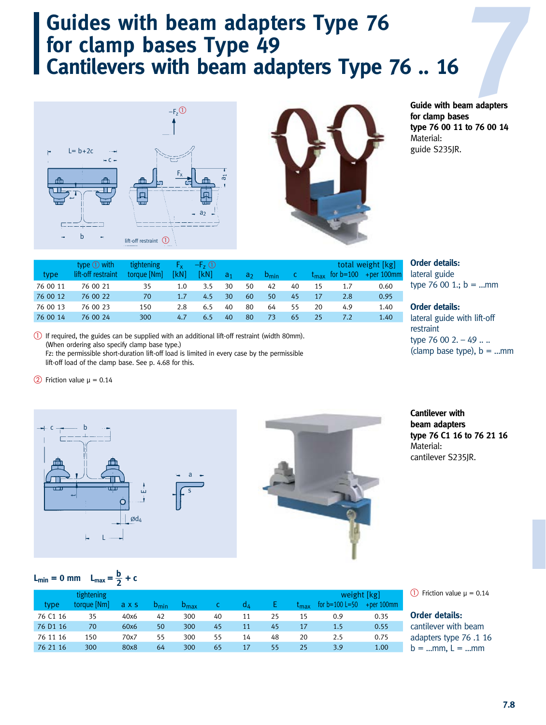### **Guides with beam adapters Type 76 for clamp bases Type 49 Cantilevers with beam adapters Type 76 .. 16**





**1999**<br>Am adapters<br>S **Guide with beam adapters for clamp bases type 76 00 11 to 76 00 14**  Material: guide S235JR.

|          | type (1) with      | tightening  |      | $-1, (1)$ |                |                |                  |    |               |             | total weight [kg] |
|----------|--------------------|-------------|------|-----------|----------------|----------------|------------------|----|---------------|-------------|-------------------|
| type     | lift-off restraint | torque [Nm] | [kN] | 'kN1      | a <sub>1</sub> | a <sub>2</sub> | $b_{\text{min}}$ | C. | $t_{\rm max}$ | for $b=100$ | $+$ per 100 $mm$  |
| 76 00 11 | 76 00 21           | 35          | 1.0  | 3.5       | 30             | 50             | 42               | 40 | 15            | 1.7         | 0.60              |
| 76 00 12 | 76 00 22           | 70          | 1.7  | 4.5       | 30             | 60             | 50               | 45 | 17            | 2.8         | 0.95              |
| 76 00 13 | 76 00 23           | 150         | 2.8  | 6.5       | 40             | 80             | 64               | 55 | 20            | 4.9         | 1.40              |
| 76 00 14 | 76 00 24           | 300         | 4.7  | 6.5       | 40             | 80             | 73               | 65 | 25            | 7.2         | 1.40              |

 If required, the guides can be supplied with an additional lift-off restraint (width 80mm). (When ordering also specify clamp base type.) Fz: the permissible short-duration lift-off load is limited in every case by the permissible lift-off load of the clamp base. See p. 4.68 for this.

#### **Order details:**

lateral guide type 76 00 1.;  $b = ...mm$ 

#### **Order details:**

lateral guide with lift-off restraint type  $76002 - 49...$ (clamp base type),  $b = ...mm$ 







#### **Cantilever with beam adapters type 76 C1 16 to 76 21 16**  Material: cantilever S235JR.

 $L_{\text{min}} = 0 \text{ mm}$   $L_{\text{max}} = \frac{b}{2} + c$ 

|          | <b>tightening</b> |              |                  |                  |    |       |    | weight [kg]      |                  |                  |  |  |
|----------|-------------------|--------------|------------------|------------------|----|-------|----|------------------|------------------|------------------|--|--|
| tvpe     | torque [Nm]       | $a \times s$ | $b_{\text{min}}$ | $b_{\text{max}}$ | c. | $d_A$ | Е  | $t_{\text{max}}$ | for $b=100$ L=50 | $+$ per 100 $mm$ |  |  |
| 76 C1 16 | 35                | 40x6         | 42               | 300              | 40 | 11    | 25 | 15               | 0.9              | 0.35             |  |  |
| 76 D1 16 | 70                | 60x6         | 50               | 300              | 45 | 11    | 45 | 17               | 1.5              | 0.55             |  |  |
| 76 11 16 | 150               | 70x7         | 55               | 300              | 55 | 14    | 48 | 20               | 2.5              | 0.75             |  |  |
| 76 21 16 | 300               | 80x8         | 64               | 300              | 65 | 17    | 55 | 25               | 3.9              | 1.00             |  |  |

 $\overline{1}$  Friction value  $\mu = 0.14$ 

**Order details:**  cantilever with beam adapters type 76 .1 16  $b = ...mm$ ,  $L = ...mm$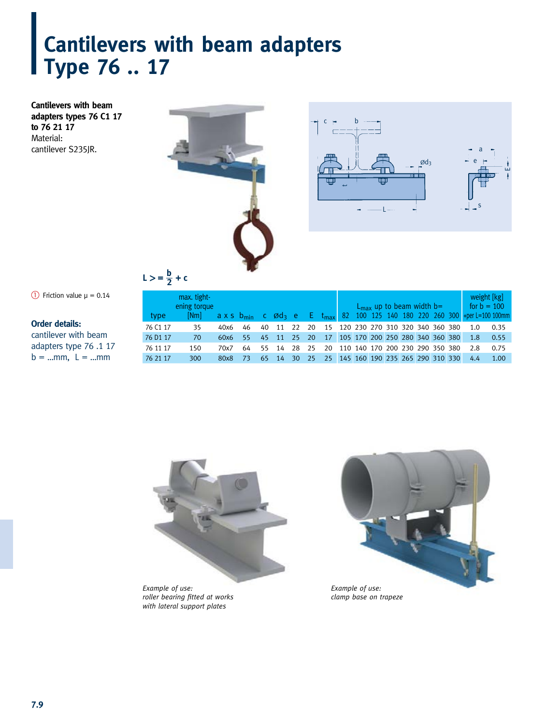### **Cantilevers with beam adapters Type 76 .. 17**

**Cantilevers with beam adapters types 76 C1 17 to 76 21 17**  Material: cantilever S235JR.



 $\textcircled{1}$  Friction value  $\mu = 0.14$ 

#### **Order details:**

cantilever with beam adapters type 76 .1 17  $b = ...mm, L = ...mm$ 

| type     | max. tight-<br>ening torque<br>[Nm] a x s b <sub>min</sub> c $\varnothing$ d <sub>3</sub> e E t <sub>max</sub> 82 100 125 140 180 220 260 300 +per L=100 100mm |      |      |    |       |      |    |                                                |  |  |  |                                 | weight [kg]<br>$L_{\text{max}}$ up to beam width b= $\vert$ for b = 100 |      |
|----------|----------------------------------------------------------------------------------------------------------------------------------------------------------------|------|------|----|-------|------|----|------------------------------------------------|--|--|--|---------------------------------|-------------------------------------------------------------------------|------|
| 76 C1 17 | 35                                                                                                                                                             | 40x6 | 46   | 40 | 11    | 22   | 20 | 15 120 230 270 310 320 340 360 380             |  |  |  |                                 | 1.0                                                                     | 0.35 |
| 76 D1 17 | 70                                                                                                                                                             | 60x6 | - 55 |    |       |      |    | 45 11 25 20 17 105 170 200 250 280 340 360 380 |  |  |  |                                 | 1.8                                                                     | 0.55 |
| 76 11 17 | 150                                                                                                                                                            | 70x7 | 64   |    | 55 14 | - 28 | 25 | 20                                             |  |  |  | 110 140 170 200 230 290 350 380 | 2.8                                                                     | 0.75 |
| 76 21 17 | 300                                                                                                                                                            | 80x8 | -73  |    |       |      |    | 65 14 30 25 25 145 160 190 235 265 290 310 330 |  |  |  |                                 | 4.4                                                                     | 1.00 |



*Example of use: roller bearing fitted at works with lateral support plates* 



*clamp base on trapeze*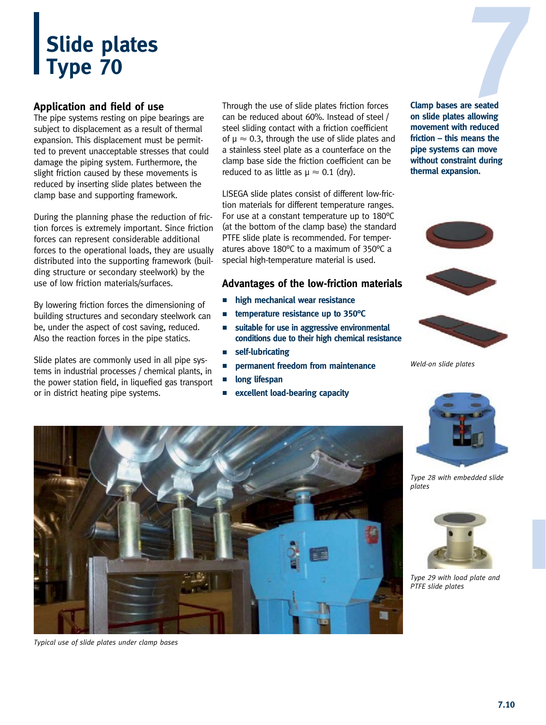## **Slide plates Type 70**

#### **Application and field of use**

The pipe systems resting on pipe bearings are subject to displacement as a result of thermal expansion. This displacement must be permitted to prevent unacceptable stresses that could damage the piping system. Furthermore, the slight friction caused by these movements is reduced by inserting slide plates between the clamp base and supporting framework.

During the planning phase the reduction of friction forces is extremely important. Since friction forces can represent considerable additional forces to the operational loads, they are usually distributed into the supporting framework (building structure or secondary steelwork) by the use of low friction materials/surfaces.

By lowering friction forces the dimensioning of building structures and secondary steelwork can be, under the aspect of cost saving, reduced. Also the reaction forces in the pipe statics.

Slide plates are commonly used in all pipe systems in industrial processes / chemical plants, in the power station field, in liquefied gas transport or in district heating pipe systems.

Through the use of slide plates friction forces can be reduced about 60%. Instead of steel / steel sliding contact with a friction coefficient of  $\mu \approx 0.3$ , through the use of slide plates and a stainless steel plate as a counterface on the clamp base side the friction coefficient can be reduced to as little as  $\mu \approx 0.1$  (dry).

LISEGA slide plates consist of different low-friction materials for different temperature ranges. For use at a constant temperature up to 180°C (at the bottom of the clamp base) the standard PTFE slide plate is recommended. For temperatures above 180°C to a maximum of 350°C a special high-temperature material is used.

#### **Advantages of the low-friction materials**

- **high mechanical wear resistance**
- **temperature resistance up to 350°C**
- **suitable for use in aggressive environmental conditions due to their high chemical resistance**
- **self-lubricating**
- **permanent freedom from maintenance**
- **long lifespan**
- **excellent load-bearing capacity**







*Weld-on slide plates* 



*plates*



*Type 29 with load plate and PTFE slide plates*



*Typical use of slide plates under clamp bases*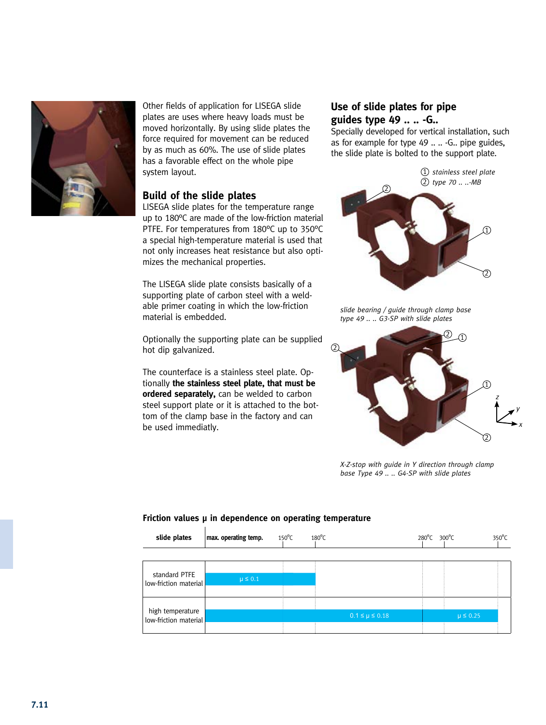

Other fields of application for LISEGA slide plates are uses where heavy loads must be moved horizontally. By using slide plates the force required for movement can be reduced by as much as 60%. The use of slide plates has a favorable effect on the whole pipe system layout.

#### **Build of the slide plates**

LISEGA slide plates for the temperature range up to 180°C are made of the low-friction material PTFE. For temperatures from 180°C up to 350°C a special high-temperature material is used that not only increases heat resistance but also optimizes the mechanical properties.

The LISEGA slide plate consists basically of a supporting plate of carbon steel with a weldable primer coating in which the low-friction material is embedded.

Optionally the supporting plate can be supplied hot dip galvanized.

The counterface is a stainless steel plate. Optionally **the stainless steel plate, that must be ordered separately,** can be welded to carbon steel support plate or it is attached to the bottom of the clamp base in the factory and can be used immediatly.

### **Use of slide plates for pipe guides type 49 .. .. -G..**

Specially developed for vertical installation, such as for example for type 49 .. .. -G.. pipe guides, the slide plate is bolted to the support plate.



*slide bearing / guide through clamp base type 49 .. .. G3-SP with slide plates*



*X-Z-stop with guide in Y direction through clamp base Type 49 .. .. G4-SP with slide plates*

| slide plates                              | max. operating temp. | $150^{\circ}$ C | $180^{\circ}$ C        | 280°C 300°C | $350^{\circ}$ C |  |
|-------------------------------------------|----------------------|-----------------|------------------------|-------------|-----------------|--|
|                                           |                      |                 |                        |             |                 |  |
| standard PTFE<br>low-friction material    |                      |                 |                        |             |                 |  |
|                                           | $\mu \leq 0.1$       |                 |                        |             |                 |  |
|                                           |                      |                 |                        |             |                 |  |
|                                           |                      |                 |                        |             |                 |  |
| high temperature<br>low-friction material |                      |                 | $0.1 \le \mu \le 0.18$ |             | $\mu \leq 0.25$ |  |
|                                           |                      |                 |                        |             |                 |  |

#### **Friction values µ in dependence on operating temperature**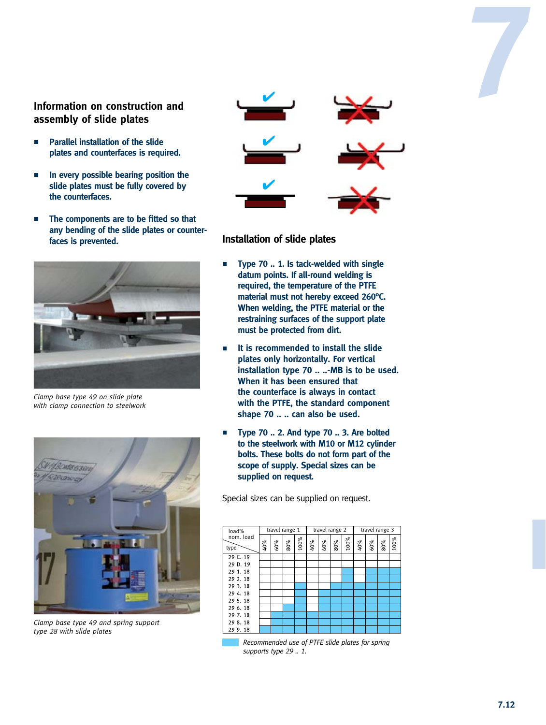#### **Information on construction and assembly of slide plates**

- **Parallel installation of the slide plates and counterfaces is required.**
- $\blacksquare$  In every possible bearing position the **slide plates must be fully covered by the counterfaces.**
- The components are to be fitted so that **any bending of the slide plates or counterfaces is prevented. Installation of slide plates**



*Clamp base type 49 on slide plate with clamp connection to steelwork* 



*Clamp base type 49 and spring support type 28 with slide plates* 



- **Type 70 .. 1. Is tack-welded with single datum points. If all-round welding is required, the temperature of the PTFE material must not hereby exceed 260°C. When welding, the PTFE material or the restraining surfaces of the support plate must be protected from dirt.**
- **It is recommended to install the slide plates only horizontally. For vertical installation type 70 .. ..-MB is to be used. When it has been ensured that the counterface is always in contact with the PTFE, the standard component shape 70 .. .. can also be used.**
- **Type 70 .. 2. And type 70 .. 3. Are bolted to the steelwork with M10 or M12 cylinder bolts. These bolts do not form part of the scope of supply. Special sizes can be supplied on request.**

Special sizes can be supplied on request.

| load%                    |     | travel range 1 |                 |      |                             | travel range 2 |     |      |     | travel range 3 |     |      |
|--------------------------|-----|----------------|-----------------|------|-----------------------------|----------------|-----|------|-----|----------------|-----|------|
| nom. load<br>type        | 40% | 60%            | 80%             | 100% | 40%                         | 60%            | 80% | 100% | 40% | 60%            | 80% | 100% |
| 29 C. 19                 |     |                |                 |      |                             |                |     |      |     |                |     |      |
| 29 D. 19                 |     |                |                 |      |                             |                |     |      |     |                |     |      |
| 29 1.18                  |     |                |                 |      |                             |                |     |      |     |                |     |      |
| 29 2.18                  |     |                |                 |      |                             |                |     |      |     |                |     |      |
| 29 3.18                  |     |                |                 |      |                             |                |     |      |     |                |     |      |
| 29 4.18                  |     |                |                 |      |                             |                |     |      |     |                |     |      |
| 29 5.18                  |     |                |                 |      |                             |                |     |      |     |                |     |      |
| 29 6.18                  |     |                |                 |      |                             |                |     |      |     |                |     |      |
| 29 7.18                  |     |                |                 |      |                             |                |     |      |     |                |     |      |
| 29 8.18                  |     |                |                 |      |                             |                |     |      |     |                |     |      |
| 29 9.18                  |     |                |                 |      |                             |                |     |      |     |                |     |      |
| $\overline{\phantom{a}}$ |     |                | $\cdot$ $\cdot$ |      | $\sim$ $\sim$ $\sim$ $\sim$ |                |     |      |     |                |     |      |

 *Recommended use of PTFE slide plates for spring supports type 29 .. 1.*

**7**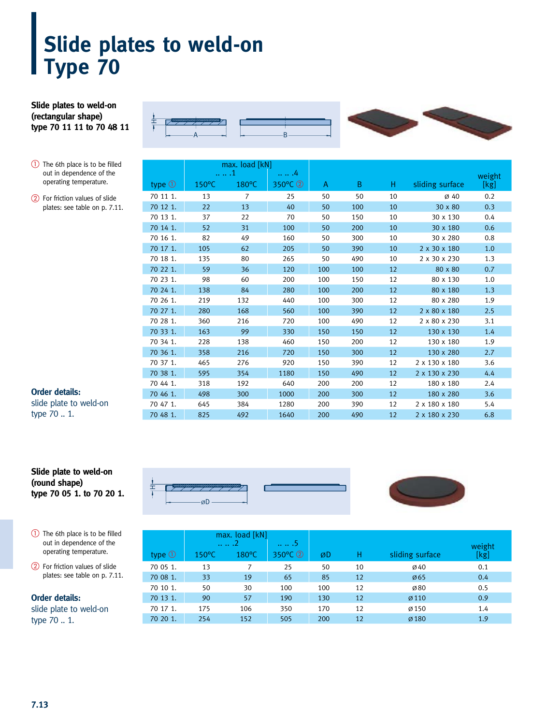### **Slide plates to weld-on Type 70**

H

 $A$   $\longrightarrow$   $\longleftarrow$   $\longrightarrow$   $B$ 

**Slide plates to weld-on (rectangular shape) type 70 11 11 to 70 48 11** 

 The 6th place is to be filled out in dependence of the operating temperature.

2 For friction values of slide plates: see table on p. 7.11.

#### **Order details:**

slide plate to weld-on type 70 .. 1.

#### **Slide plate to weld-on (round shape) type 70 05 1. to 70 20 1.**

- The 6th place is to be filled out in dependence of the operating temperature.
- 2 For friction values of slide plates: see table on p. 7.11.

**Order details:** 

slide plate to weld-on type 70 .. 1.

|          | .1    | max. load [kN] | .4      |     |     |    |                  |                |
|----------|-------|----------------|---------|-----|-----|----|------------------|----------------|
| type ①   | 150°C | 180°C          | 350°C 2 | A   | B   | н  | sliding surface  | weight<br>[kg] |
| 70 11 1. | 13    | 7              | 25      | 50  | 50  | 10 | $\varnothing$ 40 | 0.2            |
| 70 12 1. | 22    | 13             | 40      | 50  | 100 | 10 | 30 x 80          | 0.3            |
| 70 13 1. | 37    | 22             | 70      | 50  | 150 | 10 | 30 x 130         | 0.4            |
| 70 14 1. | 52    | 31             | 100     | 50  | 200 | 10 | 30 x 180         | 0.6            |
| 70 16 1. | 82    | 49             | 160     | 50  | 300 | 10 | 30 x 280         | 0.8            |
| 70 17 1. | 105   | 62             | 205     | 50  | 390 | 10 | 2 x 30 x 180     | 1.0            |
| 70 18 1. | 135   | 80             | 265     | 50  | 490 | 10 | 2 x 30 x 230     | 1.3            |
| 70 22 1. | 59    | 36             | 120     | 100 | 100 | 12 | 80 x 80          | 0.7            |
| 70 23 1. | 98    | 60             | 200     | 100 | 150 | 12 | 80 x 130         | 1.0            |
| 70 24 1. | 138   | 84             | 280     | 100 | 200 | 12 | 80 x 180         | 1.3            |
| 70 26 1. | 219   | 132            | 440     | 100 | 300 | 12 | 80 x 280         | 1.9            |
| 70 27 1. | 280   | 168            | 560     | 100 | 390 | 12 | 2 x 80 x 180     | 2.5            |
| 70 28 1. | 360   | 216            | 720     | 100 | 490 | 12 | 2 x 80 x 230     | 3.1            |
| 70 33 1. | 163   | 99             | 330     | 150 | 150 | 12 | 130 x 130        | 1.4            |
| 70 34 1. | 228   | 138            | 460     | 150 | 200 | 12 | 130 x 180        | 1.9            |
| 70 36 1. | 358   | 216            | 720     | 150 | 300 | 12 | 130 x 280        | 2.7            |
| 70 37 1. | 465   | 276            | 920     | 150 | 390 | 12 | 2 x 130 x 180    | 3.6            |
| 70 38 1. | 595   | 354            | 1180    | 150 | 490 | 12 | 2 x 130 x 230    | 4.4            |
| 70 44 1. | 318   | 192            | 640     | 200 | 200 | 12 | 180 x 180        | 2.4            |
| 70 46 1. | 498   | 300            | 1000    | 200 | 300 | 12 | 180 x 280        | 3.6            |
| 70 47 1. | 645   | 384            | 1280    | 200 | 390 | 12 | 2 x 180 x 180    | 5.4            |
| 70 48 1. | 825   | 492            | 1640    | 200 | 490 | 12 | 2 x 180 x 230    | 6.8            |



|          |                 | max. load [kN]        |               |     |    |                  |                |
|----------|-----------------|-----------------------|---------------|-----|----|------------------|----------------|
| type ①   | $150^{\circ}$ C | .2<br>$180^{\circ}$ C | .5<br>350°C 2 | øD  | н  | sliding surface  | weight<br>[kg] |
| 70 05 1. | 13              | 7                     | 25            | 50  | 10 | Ø40              | 0.1            |
| 70 08 1. | 33              | 19                    | 65            | 85  | 12 | $\varnothing$ 65 | 0.4            |
| 70 10 1. | 50              | 30                    | 100           | 100 | 12 | Ø80              | 0.5            |
| 70 13 1. | 90              | 57                    | 190           | 130 | 12 | Ø110             | 0.9            |
| 70 17 1. | 175             | 106                   | 350           | 170 | 12 | Ø150             | 1.4            |
| 70 20 1. | 254             | 152                   | 505           | 200 | 12 | Ø180             | 1.9            |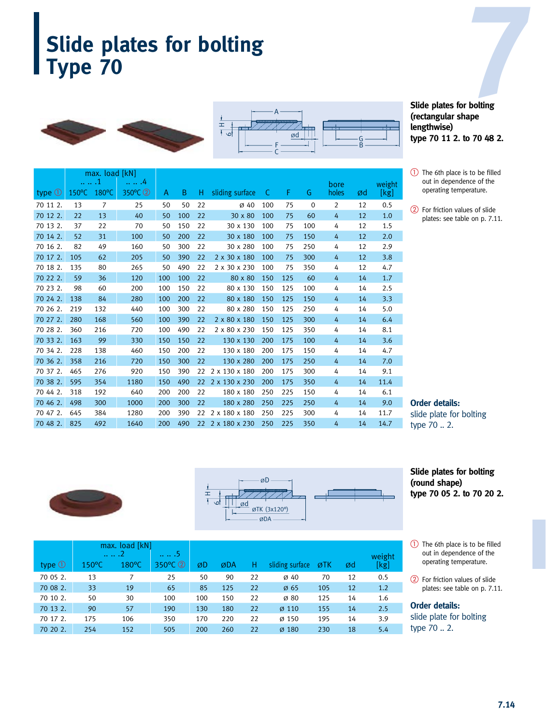### **Slide plates for bolting Type 70**





**1**<br>**1999**<br>1998 **Slide plates for bolting (rectangular shape lengthwise) type 70 11 2. to 70 48 2.** 

**Order details:**  slide plate for bolting





- $\overline{1}$  The 6th place is to be filled out in dependence of the operating temperature.
- For friction values of slide plates: see table on p. 7.11.

**Order details:** 

slide plate for bolting type 70 .. 2.



|          |                 | max. load [kN]  |                     |     |     |    |                  |            |    |        |
|----------|-----------------|-----------------|---------------------|-----|-----|----|------------------|------------|----|--------|
|          | .2<br>0.5       |                 |                     |     |     |    |                  |            |    | weight |
| type ①   | $150^{\circ}$ C | $180^{\circ}$ C | $350^{\circ}$ C (2) | øD  | ØDA | Н  | sliding surface  | <b>ØTK</b> | ød | [kg]   |
| 70 05 2. | 13              |                 | 25                  | 50  | 90  | 22 | $\varnothing$ 40 | 70         | 12 | 0.5    |
| 70 08 2. | 33              | 19              | 65                  | 85  | 125 | 22 | $\varnothing$ 65 | 105        | 12 | 1.2    |
| 70 10 2. | 50              | 30              | 100                 | 100 | 150 | 22 | $\varnothing$ 80 | 125        | 14 | 1.6    |
| 70 13 2. | 90              | 57              | 190                 | 130 | 180 | 22 | Ø 110            | 155        | 14 | 2.5    |
| 70 17 2. | 175             | 106             | 350                 | 170 | 220 | 22 | Ø 150            | 195        | 14 | 3.9    |
| 70 20 2. | 254             | 152             | 505                 | 200 | 260 | 22 | Ø 180            | 230        | 18 | 5.4    |

H $\circ$  ØD

ØTK (3x120°) ØDA

Ød

max. load [kN] .. .. .1 .. .. .4 bore weight type  $\overline{0}$  150°C 180°C 350°C  $\overline{2}$  A B H sliding surface C F G holes  $\overline{p}$  bles  $\overline{p}$ 70 11 2. 13 7 25 50 50 22 Ø 40 100 75 0 2 12 0.5 70 12 2. 22 13 40 50 100 22 30 x 80 100 75 60 4 12 1.0 70 13 2. 37 22 70 50 150 22 30 x 130 100 75 100 4 12 1.5 70 14 2. 52 31 100 50 200 22 30 x 180 100 75 150 4 12 2.0 70 16 2. 82 49 160 50 300 22 30 x 280 100 75 250 4 12 2.9 70 17 2. 105 62 205 50 390 22 2 x 30 x 180 100 75 300 4 12 3.8 70 18 2. 135 80 265 50 490 22 2 x 30 x 230 100 75 350 4 12 4.7 70 22 2. 59 36 120 100 100 22 80 x 80 150 125 60 4 14 1.7 70 23 2. 98 60 200 100 150 22 80 x 130 150 125 100 4 14 2.5 70 24 2. 138 84 280 100 200 22 80 x 180 150 125 150 4 14 3.3 70 26 2. 219 132 440 100 300 22 80 x 280 150 125 250 4 14 5.0 70 27 2. 280 168 560 100 390 22 2 x 80 x 180 150 125 300 4 14 6.4 70 28 2. 360 216 720 100 490 22 2 x 80 x 230 150 125 350 4 14 8.1 70 33 2. 163 99 330 150 150 22 130 x 130 200 175 100 4 14 3.6 70 34 2. 228 138 460 150 200 22 130 x 180 200 175 150 4 14 4.7 70 36 2. 358 216 720 150 300 22 130 x 280 200 175 250 4 14 7.0 70 37 2. 465 276 920 150 390 22 2 x 130 x 180 200 175 300 4 14 9.1 70 38 2. 595 354 1180 150 490 22 2 x 130 x 230 200 175 350 4 14 11.4 70 44 2. 318 192 640 200 200 22 180 x 180 250 225 150 4 14 6.1 70 46 2. 498 300 1000 200 300 22 180 x 280 250 225 250 4 14 9.0 70 47 2. 645 384 1280 200 390 22 2 x 180 x 180 250 225 300 4 14 11.7 70 48 2. 825 492 1640 200 490 22 2 x 180 x 230 250 225 350 4 14 14.7

 $\bigcirc$  The 6th place is to be filled out in dependence of the operating temperature.

<sup>2</sup> For friction values of slide plates: see table on p. 7.11.